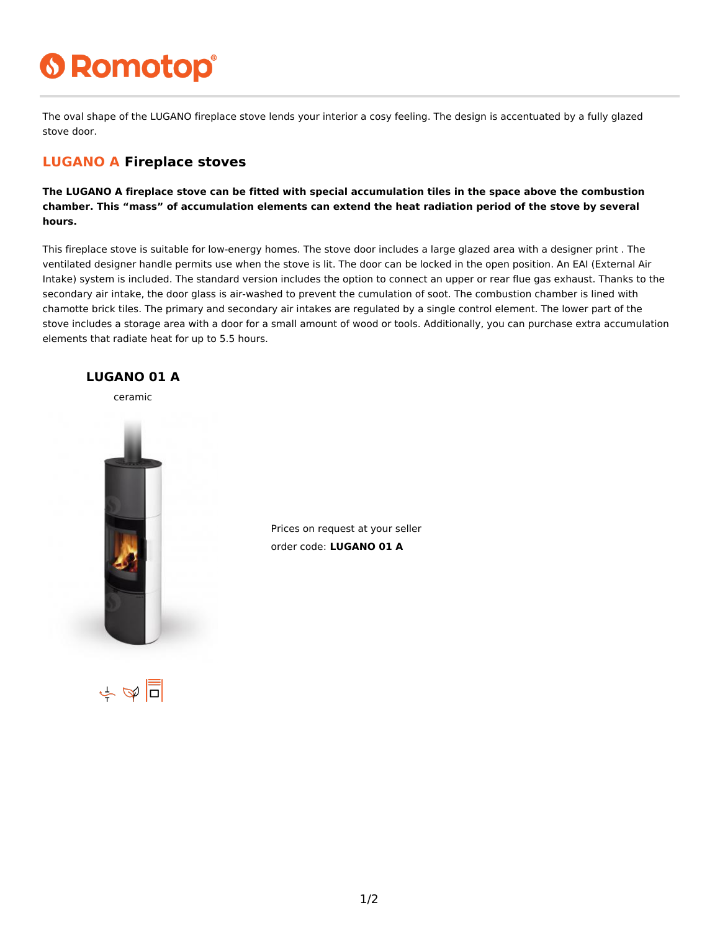# **6 Romotop®**

The oval shape of the LUGANO fireplace stove lends your interior a cosy feeling. The design is accentuated by a fully glazed stove door.

#### **LUGANO A Fireplace stoves**

**The LUGANO A fireplace stove can be fitted with special accumulation tiles in the space above the combustion chamber. This "mass" of accumulation elements can extend the heat radiation period of the stove by several hours.**

This fireplace stove is suitable for low-energy homes. The stove door includes a large glazed area with a designer print . The ventilated designer handle permits use when the stove is lit. The door can be locked in the open position. An EAI (External Air Intake) system is included. The standard version includes the option to connect an upper or rear flue gas exhaust. Thanks to the secondary air intake, the door glass is air-washed to prevent the cumulation of soot. The combustion chamber is lined with chamotte brick tiles. The primary and secondary air intakes are regulated by a single control element. The lower part of the stove includes a storage area with a door for a small amount of wood or tools. Additionally, you can purchase extra accumulation elements that radiate heat for up to 5.5 hours.



Prices on request at your seller order code: **LUGANO 01 A**